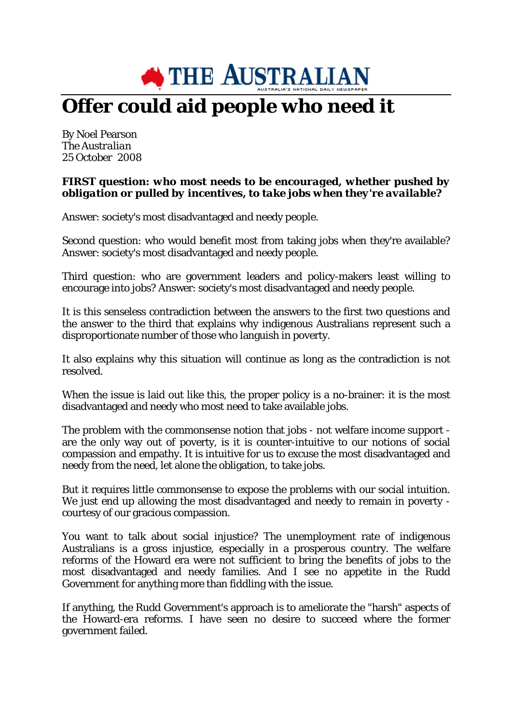

## **Offer could aid people who need it**

By Noel Pearson *The Australian 25 October 2008*

## *FIRST question: who most needs to be encouraged, whether pushed by obligation or pulled by incentives, to take jobs when they're available?*

Answer: society's most disadvantaged and needy people.

Second question: who would benefit most from taking jobs when they're available? Answer: society's most disadvantaged and needy people.

Third question: who are government leaders and policy-makers least willing to encourage into jobs? Answer: society's most disadvantaged and needy people.

It is this senseless contradiction between the answers to the first two questions and the answer to the third that explains why indigenous Australians represent such a disproportionate number of those who languish in poverty.

It also explains why this situation will continue as long as the contradiction is not resolved.

When the issue is laid out like this, the proper policy is a no-brainer: it is the most disadvantaged and needy who most need to take available jobs.

The problem with the commonsense notion that jobs - not welfare income support are the only way out of poverty, is it is counter-intuitive to our notions of social compassion and empathy. It is intuitive for us to excuse the most disadvantaged and needy from the need, let alone the obligation, to take jobs.

But it requires little commonsense to expose the problems with our social intuition. We just end up allowing the most disadvantaged and needy to remain in poverty courtesy of our gracious compassion.

You want to talk about social injustice? The unemployment rate of indigenous Australians is a gross injustice, especially in a prosperous country. The welfare reforms of the Howard era were not sufficient to bring the benefits of jobs to the most disadvantaged and needy families. And I see no appetite in the Rudd Government for anything more than fiddling with the issue.

If anything, the Rudd Government's approach is to ameliorate the "harsh" aspects of the Howard-era reforms. I have seen no desire to succeed where the former government failed.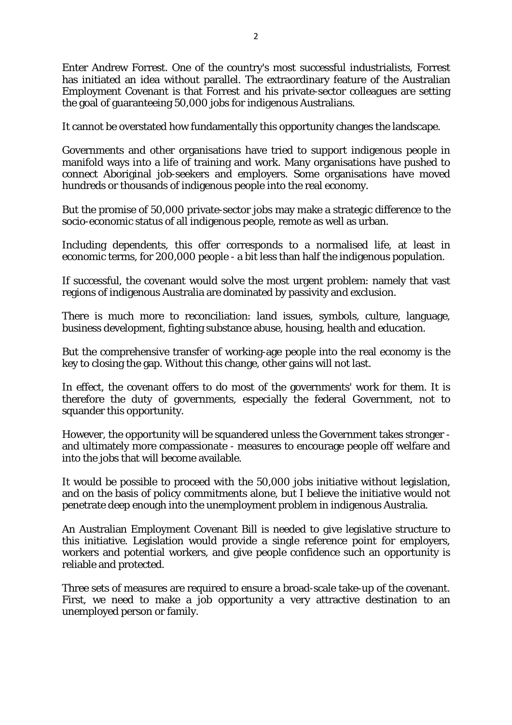Enter Andrew Forrest. One of the country's most successful industrialists, Forrest has initiated an idea without parallel. The extraordinary feature of the Australian Employment Covenant is that Forrest and his private-sector colleagues are setting the goal of guaranteeing 50,000 jobs for indigenous Australians.

It cannot be overstated how fundamentally this opportunity changes the landscape.

Governments and other organisations have tried to support indigenous people in manifold ways into a life of training and work. Many organisations have pushed to connect Aboriginal job-seekers and employers. Some organisations have moved hundreds or thousands of indigenous people into the real economy.

But the promise of 50,000 private-sector jobs may make a strategic difference to the socio-economic status of all indigenous people, remote as well as urban.

Including dependents, this offer corresponds to a normalised life, at least in economic terms, for 200,000 people - a bit less than half the indigenous population.

If successful, the covenant would solve the most urgent problem: namely that vast regions of indigenous Australia are dominated by passivity and exclusion.

There is much more to reconciliation: land issues, symbols, culture, language, business development, fighting substance abuse, housing, health and education.

But the comprehensive transfer of working-age people into the real economy is the key to closing the gap. Without this change, other gains will not last.

In effect, the covenant offers to do most of the governments' work for them. It is therefore the duty of governments, especially the federal Government, not to squander this opportunity.

However, the opportunity will be squandered unless the Government takes stronger and ultimately more compassionate - measures to encourage people off welfare and into the jobs that will become available.

It would be possible to proceed with the 50,000 jobs initiative without legislation, and on the basis of policy commitments alone, but I believe the initiative would not penetrate deep enough into the unemployment problem in indigenous Australia.

An Australian Employment Covenant Bill is needed to give legislative structure to this initiative. Legislation would provide a single reference point for employers, workers and potential workers, and give people confidence such an opportunity is reliable and protected.

Three sets of measures are required to ensure a broad-scale take-up of the covenant. First, we need to make a job opportunity a very attractive destination to an unemployed person or family.